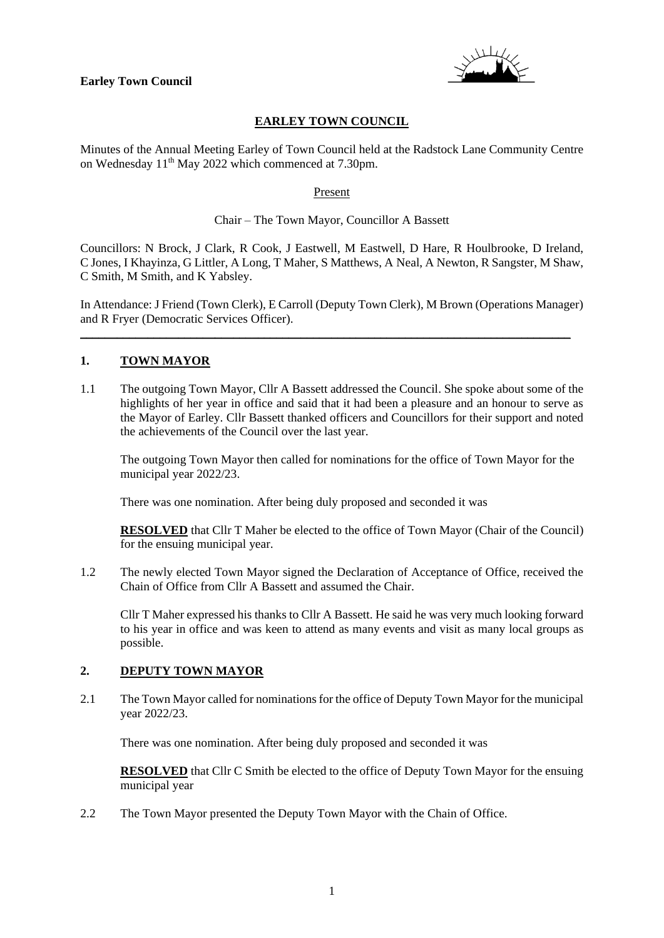

# **EARLEY TOWN COUNCIL**

Minutes of the Annual Meeting Earley of Town Council held at the Radstock Lane Community Centre on Wednesday 11th May 2022 which commenced at 7.30pm.

#### Present

## Chair – The Town Mayor, Councillor A Bassett

Councillors: N Brock, J Clark, R Cook, J Eastwell, M Eastwell, D Hare, R Houlbrooke, D Ireland, C Jones, I Khayinza, G Littler, A Long, T Maher, S Matthews, A Neal, A Newton, R Sangster, M Shaw, C Smith, M Smith, and K Yabsley.

In Attendance: J Friend (Town Clerk), E Carroll (Deputy Town Clerk), M Brown (Operations Manager) and R Fryer (Democratic Services Officer).

\_\_\_\_\_\_\_\_\_\_\_\_\_\_\_\_\_\_\_\_\_\_\_\_\_\_\_\_\_\_\_\_\_\_\_\_\_\_\_\_\_\_\_\_\_\_\_\_\_\_\_\_\_\_\_\_\_\_\_\_\_\_\_\_\_\_\_\_\_\_\_\_\_\_\_\_\_\_\_\_

# **1. TOWN MAYOR**

1.1 The outgoing Town Mayor, Cllr A Bassett addressed the Council. She spoke about some of the highlights of her year in office and said that it had been a pleasure and an honour to serve as the Mayor of Earley. Cllr Bassett thanked officers and Councillors for their support and noted the achievements of the Council over the last year.

The outgoing Town Mayor then called for nominations for the office of Town Mayor for the municipal year 2022/23.

There was one nomination. After being duly proposed and seconded it was

**RESOLVED** that Cllr T Maher be elected to the office of Town Mayor (Chair of the Council) for the ensuing municipal year.

1.2 The newly elected Town Mayor signed the Declaration of Acceptance of Office, received the Chain of Office from Cllr A Bassett and assumed the Chair.

Cllr T Maher expressed his thanks to Cllr A Bassett. He said he was very much looking forward to his year in office and was keen to attend as many events and visit as many local groups as possible.

# **2. DEPUTY TOWN MAYOR**

2.1 The Town Mayor called for nominations for the office of Deputy Town Mayor for the municipal year 2022/23.

There was one nomination. After being duly proposed and seconded it was

**RESOLVED** that Cllr C Smith be elected to the office of Deputy Town Mayor for the ensuing municipal year

2.2 The Town Mayor presented the Deputy Town Mayor with the Chain of Office.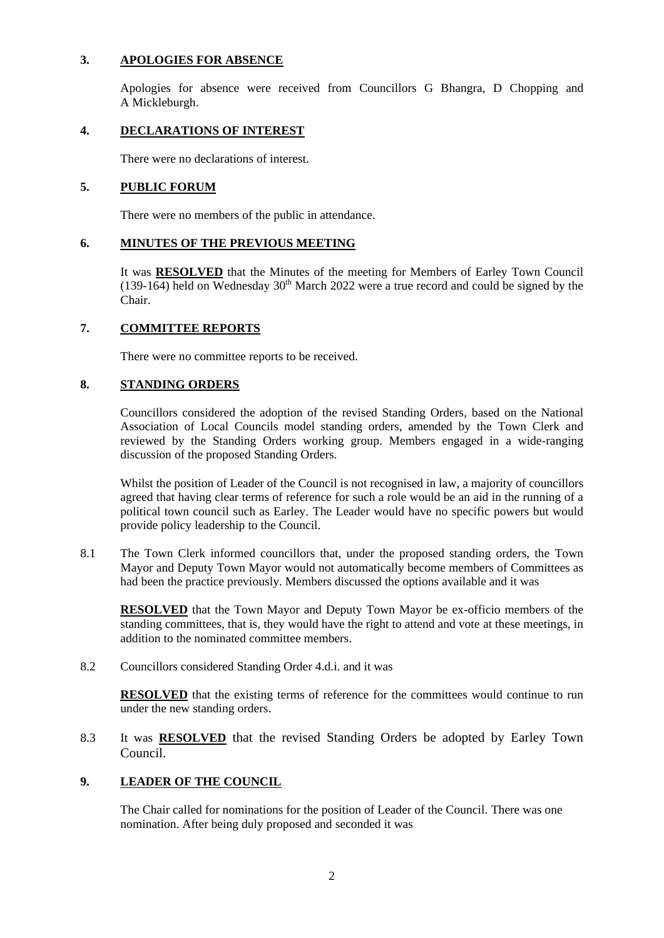## **3. APOLOGIES FOR ABSENCE**

Apologies for absence were received from Councillors G Bhangra, D Chopping and A Mickleburgh.

# **4. DECLARATIONS OF INTEREST**

There were no declarations of interest.

## **5. PUBLIC FORUM**

There were no members of the public in attendance.

## **6. MINUTES OF THE PREVIOUS MEETING**

It was **RESOLVED** that the Minutes of the meeting for Members of Earley Town Council  $(139-164)$  held on Wednesday 30<sup>th</sup> March 2022 were a true record and could be signed by the Chair.

#### **7. COMMITTEE REPORTS**

There were no committee reports to be received.

## **8. STANDING ORDERS**

Councillors considered the adoption of the revised Standing Orders, based on the National Association of Local Councils model standing orders, amended by the Town Clerk and reviewed by the Standing Orders working group. Members engaged in a wide-ranging discussion of the proposed Standing Orders.

Whilst the position of Leader of the Council is not recognised in law, a majority of councillors agreed that having clear terms of reference for such a role would be an aid in the running of a political town council such as Earley. The Leader would have no specific powers but would provide policy leadership to the Council.

8.1 The Town Clerk informed councillors that, under the proposed standing orders, the Town Mayor and Deputy Town Mayor would not automatically become members of Committees as had been the practice previously. Members discussed the options available and it was

**RESOLVED** that the Town Mayor and Deputy Town Mayor be ex-officio members of the standing committees, that is, they would have the right to attend and vote at these meetings, in addition to the nominated committee members.

8.2 Councillors considered Standing Order 4.d.i. and it was

**RESOLVED** that the existing terms of reference for the committees would continue to run under the new standing orders.

8.3 It was **RESOLVED** that the revised Standing Orders be adopted by Earley Town Council.

#### **9. LEADER OF THE COUNCIL**

The Chair called for nominations for the position of Leader of the Council. There was one nomination. After being duly proposed and seconded it was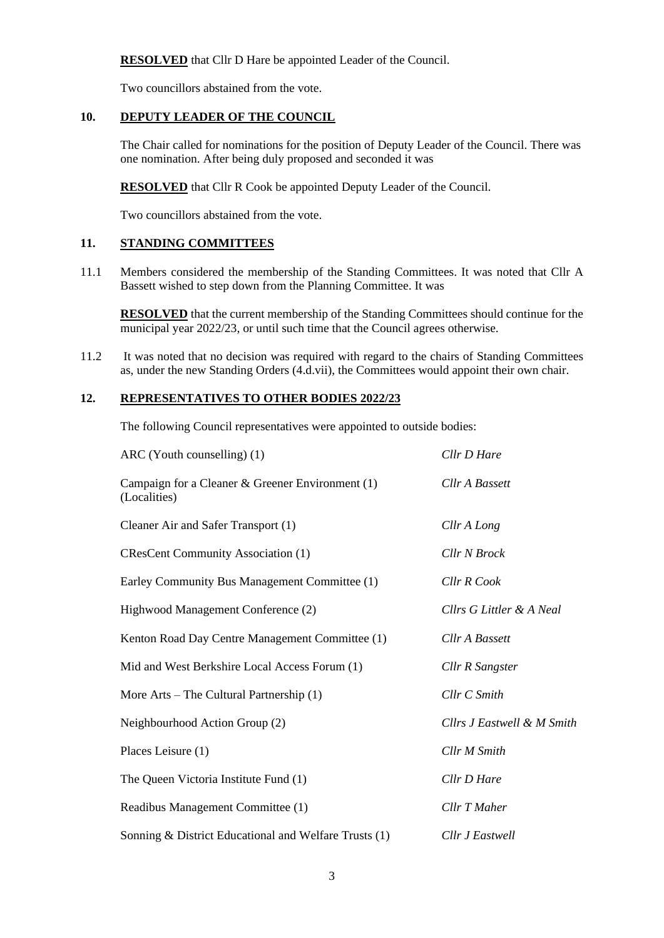**RESOLVED** that Cllr D Hare be appointed Leader of the Council.

Two councillors abstained from the vote.

# **10. DEPUTY LEADER OF THE COUNCIL**

The Chair called for nominations for the position of Deputy Leader of the Council. There was one nomination. After being duly proposed and seconded it was

**RESOLVED** that Cllr R Cook be appointed Deputy Leader of the Council.

Two councillors abstained from the vote.

## **11. STANDING COMMITTEES**

11.1 Members considered the membership of the Standing Committees. It was noted that Cllr A Bassett wished to step down from the Planning Committee. It was

**RESOLVED** that the current membership of the Standing Committees should continue for the municipal year 2022/23, or until such time that the Council agrees otherwise.

11.2 It was noted that no decision was required with regard to the chairs of Standing Committees as, under the new Standing Orders (4.d.vii), the Committees would appoint their own chair.

# **12. REPRESENTATIVES TO OTHER BODIES 2022/23**

The following Council representatives were appointed to outside bodies:

| $ARC (Youth \, counselling) (1)$                                   | Cllr D Hare                |
|--------------------------------------------------------------------|----------------------------|
| Campaign for a Cleaner & Greener Environment $(1)$<br>(Localities) | Cllr A Bassett             |
| Cleaner Air and Safer Transport (1)                                | Cllr A Long                |
| <b>CResCent Community Association (1)</b>                          | Cllr N Brock               |
| Earley Community Bus Management Committee (1)                      | Cllr R Cook                |
| Highwood Management Conference (2)                                 | Cllrs G Littler & A Neal   |
| Kenton Road Day Centre Management Committee (1)                    | Cllr A Bassett             |
| Mid and West Berkshire Local Access Forum (1)                      | Cllr R Sangster            |
| More Arts – The Cultural Partnership $(1)$                         | Cllr C Smith               |
| Neighbourhood Action Group (2)                                     | Cllrs J Eastwell & M Smith |
| Places Leisure (1)                                                 | <b>Cllr M Smith</b>        |
| The Queen Victoria Institute Fund (1)                              | Cllr D Hare                |
| Readibus Management Committee (1)                                  | Cllr T Maher               |
| Sonning & District Educational and Welfare Trusts (1)              | Cllr J Eastwell            |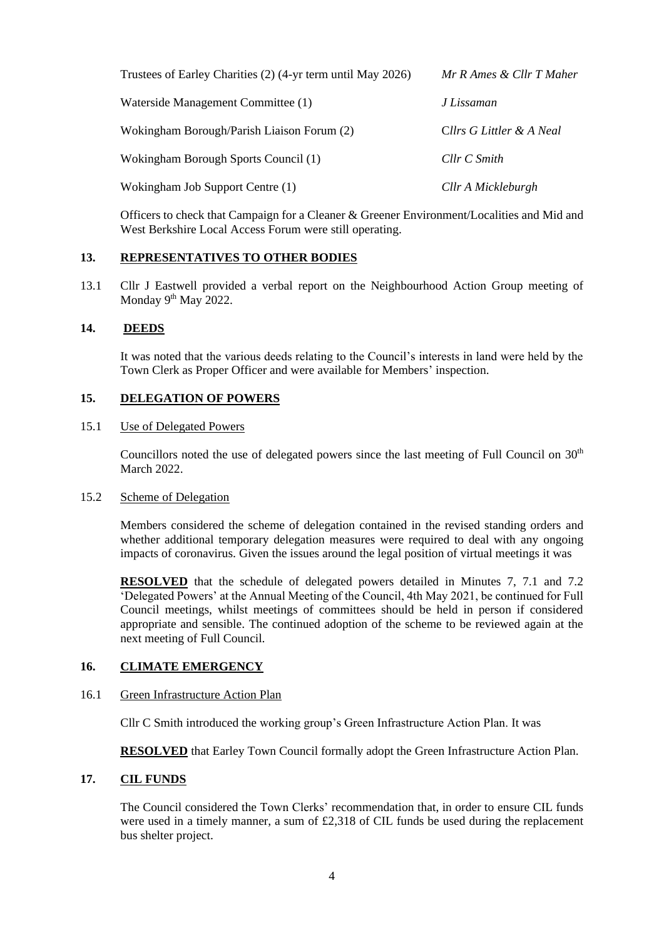| Trustees of Earley Charities (2) (4-yr term until May 2026) | Mr R Ames & Cllr T Maher |
|-------------------------------------------------------------|--------------------------|
| Waterside Management Committee (1)                          | J Lissaman               |
| Wokingham Borough/Parish Liaison Forum (2)                  | Cllrs G Littler & A Neal |
| Wokingham Borough Sports Council (1)                        | $Cllr\ C\ Smith$         |
| Wokingham Job Support Centre (1)                            | Cllr A Mickleburgh       |

Officers to check that Campaign for a Cleaner & Greener Environment/Localities and Mid and West Berkshire Local Access Forum were still operating.

#### **13. REPRESENTATIVES TO OTHER BODIES**

13.1 Cllr J Eastwell provided a verbal report on the Neighbourhood Action Group meeting of Monday 9<sup>th</sup> May 2022.

## **14. DEEDS**

It was noted that the various deeds relating to the Council's interests in land were held by the Town Clerk as Proper Officer and were available for Members' inspection.

# **15. DELEGATION OF POWERS**

#### 15.1 Use of Delegated Powers

Councillors noted the use of delegated powers since the last meeting of Full Council on  $30<sup>th</sup>$ March 2022.

#### 15.2 Scheme of Delegation

Members considered the scheme of delegation contained in the revised standing orders and whether additional temporary delegation measures were required to deal with any ongoing impacts of coronavirus. Given the issues around the legal position of virtual meetings it was

**RESOLVED** that the schedule of delegated powers detailed in Minutes 7, 7.1 and 7.2 'Delegated Powers' at the Annual Meeting of the Council, 4th May 2021, be continued for Full Council meetings, whilst meetings of committees should be held in person if considered appropriate and sensible. The continued adoption of the scheme to be reviewed again at the next meeting of Full Council.

#### **16. CLIMATE EMERGENCY**

#### 16.1 Green Infrastructure Action Plan

Cllr C Smith introduced the working group's Green Infrastructure Action Plan. It was

**RESOLVED** that Earley Town Council formally adopt the Green Infrastructure Action Plan.

#### **17. CIL FUNDS**

The Council considered the Town Clerks' recommendation that, in order to ensure CIL funds were used in a timely manner, a sum of  $\text{\pounds}2,318$  of CIL funds be used during the replacement bus shelter project.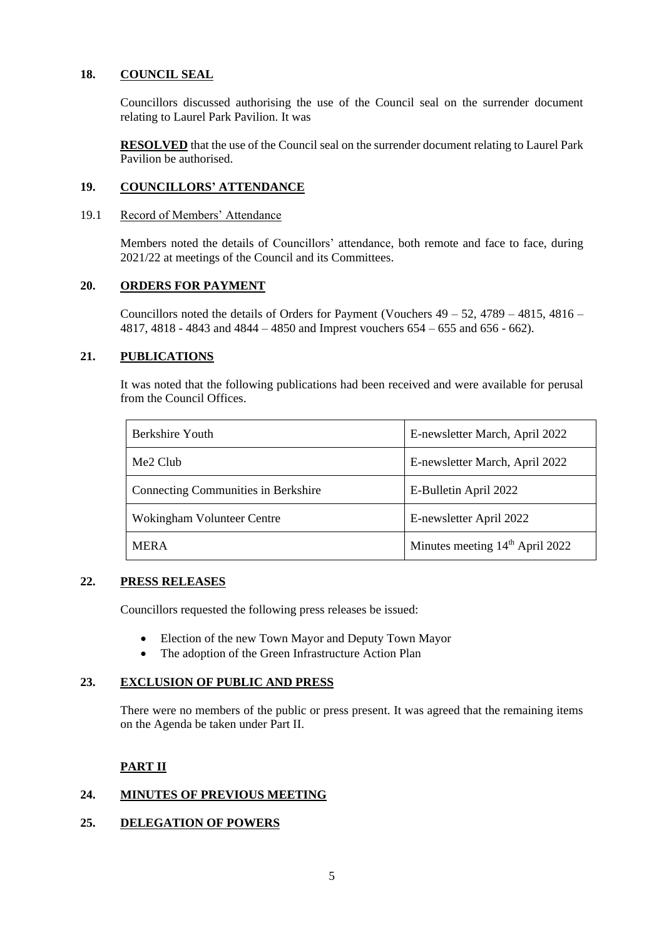#### **18. COUNCIL SEAL**

Councillors discussed authorising the use of the Council seal on the surrender document relating to Laurel Park Pavilion. It was

**RESOLVED** that the use of the Council seal on the surrender document relating to Laurel Park Pavilion be authorised.

#### **19. COUNCILLORS' ATTENDANCE**

#### 19.1 Record of Members' Attendance

Members noted the details of Councillors' attendance, both remote and face to face, during 2021/22 at meetings of the Council and its Committees.

#### **20. ORDERS FOR PAYMENT**

Councillors noted the details of Orders for Payment (Vouchers 49 – 52, 4789 – 4815, 4816 – 4817, 4818 - 4843 and 4844 – 4850 and Imprest vouchers 654 – 655 and 656 - 662).

## **21. PUBLICATIONS**

It was noted that the following publications had been received and were available for perusal from the Council Offices.

| Berkshire Youth                            | E-newsletter March, April 2022              |
|--------------------------------------------|---------------------------------------------|
| Me2 Club                                   | E-newsletter March, April 2022              |
| <b>Connecting Communities in Berkshire</b> | E-Bulletin April 2022                       |
| Wokingham Volunteer Centre                 | E-newsletter April 2022                     |
| <b>MERA</b>                                | Minutes meeting 14 <sup>th</sup> April 2022 |

# **22. PRESS RELEASES**

Councillors requested the following press releases be issued:

- Election of the new Town Mayor and Deputy Town Mayor
- The adoption of the Green Infrastructure Action Plan

#### **23. EXCLUSION OF PUBLIC AND PRESS**

There were no members of the public or press present. It was agreed that the remaining items on the Agenda be taken under Part II.

# **PART II**

# **24. MINUTES OF PREVIOUS MEETING**

#### **25. DELEGATION OF POWERS**